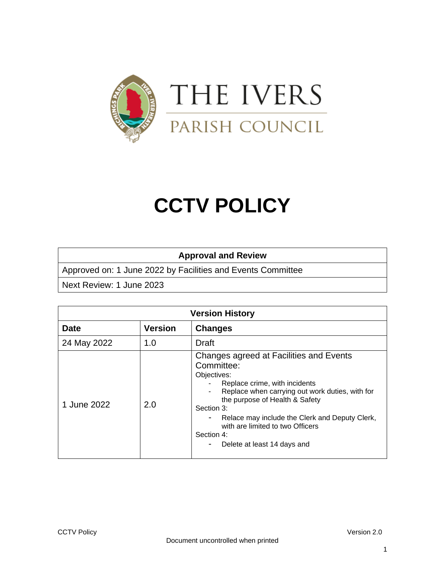

# **CCTV POLICY**

#### **Approval and Review**

Approved on: 1 June 2022 by Facilities and Events Committee

Next Review: 1 June 2023

| <b>Version History</b> |                |                                                                                                                                                                                                                                                                                                                                             |  |
|------------------------|----------------|---------------------------------------------------------------------------------------------------------------------------------------------------------------------------------------------------------------------------------------------------------------------------------------------------------------------------------------------|--|
| <b>Date</b>            | <b>Version</b> | <b>Changes</b>                                                                                                                                                                                                                                                                                                                              |  |
| 24 May 2022            | 1.0            | Draft                                                                                                                                                                                                                                                                                                                                       |  |
| 1 June 2022            | 2.0            | Changes agreed at Facilities and Events<br>Committee:<br>Objectives:<br>Replace crime, with incidents<br>Replace when carrying out work duties, with for<br>the purpose of Health & Safety<br>Section 3:<br>Relace may include the Clerk and Deputy Clerk,<br>with are limited to two Officers<br>Section 4:<br>Delete at least 14 days and |  |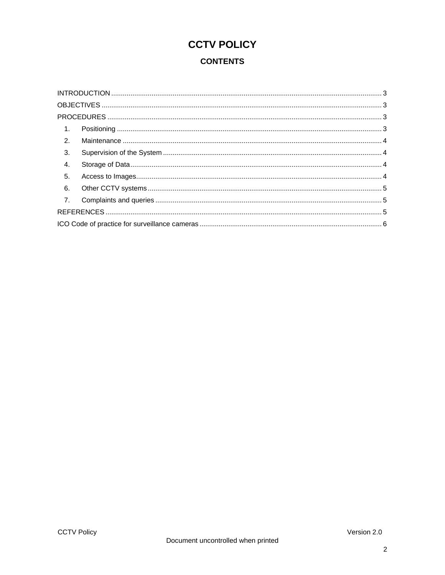## **CCTV POLICY CONTENTS**

| $\overline{1}$ . |  |  |
|------------------|--|--|
| $\overline{2}$ . |  |  |
| 3.               |  |  |
| 4.               |  |  |
| 5.               |  |  |
| 6.               |  |  |
| $\overline{7}$ . |  |  |
|                  |  |  |
|                  |  |  |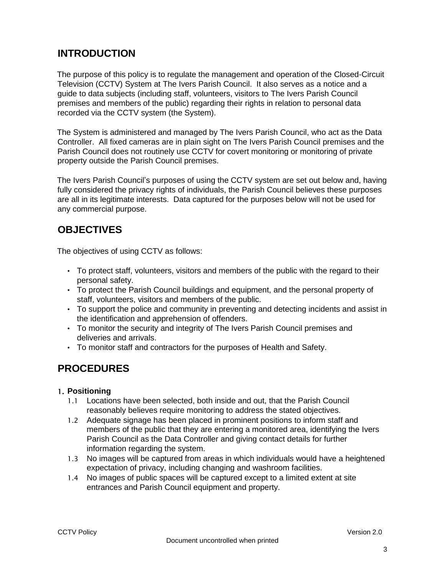## <span id="page-2-0"></span>**INTRODUCTION**

The purpose of this policy is to regulate the management and operation of the Closed-Circuit Television (CCTV) System at The Ivers Parish Council. It also serves as a notice and a guide to data subjects (including staff, volunteers, visitors to The Ivers Parish Council premises and members of the public) regarding their rights in relation to personal data recorded via the CCTV system (the System).

The System is administered and managed by The Ivers Parish Council, who act as the Data Controller. All fixed cameras are in plain sight on The Ivers Parish Council premises and the Parish Council does not routinely use CCTV for covert monitoring or monitoring of private property outside the Parish Council premises.

The Ivers Parish Council's purposes of using the CCTV system are set out below and, having fully considered the privacy rights of individuals, the Parish Council believes these purposes are all in its legitimate interests. Data captured for the purposes below will not be used for any commercial purpose.

## <span id="page-2-1"></span>**OBJECTIVES**

The objectives of using CCTV as follows:

- To protect staff, volunteers, visitors and members of the public with the regard to their personal safety.
- To protect the Parish Council buildings and equipment, and the personal property of staff, volunteers, visitors and members of the public.
- To support the police and community in preventing and detecting incidents and assist in the identification and apprehension of offenders.
- To monitor the security and integrity of The Ivers Parish Council premises and deliveries and arrivals.
- To monitor staff and contractors for the purposes of Health and Safety.

## <span id="page-2-2"></span>**PROCEDURES**

#### <span id="page-2-3"></span>1. **Positioning**

- 1.1 Locations have been selected, both inside and out, that the Parish Council reasonably believes require monitoring to address the stated objectives.
- 1.2 Adequate signage has been placed in prominent positions to inform staff and members of the public that they are entering a monitored area, identifying the Ivers Parish Council as the Data Controller and giving contact details for further information regarding the system.
- 1.3 No images will be captured from areas in which individuals would have a heightened expectation of privacy, including changing and washroom facilities.
- <span id="page-2-4"></span>1.4 No images of public spaces will be captured except to a limited extent at site entrances and Parish Council equipment and property.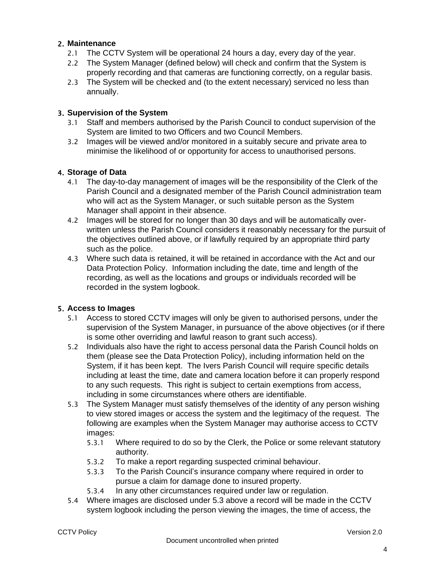#### 2. **Maintenance**

- 2.1 The CCTV System will be operational 24 hours a day, every day of the year.
- 2.2 The System Manager (defined below) will check and confirm that the System is properly recording and that cameras are functioning correctly, on a regular basis.
- 2.3 The System will be checked and (to the extent necessary) serviced no less than annually.

#### <span id="page-3-0"></span>3. **Supervision of the System**

- 3.1 Staff and members authorised by the Parish Council to conduct supervision of the System are limited to two Officers and two Council Members.
- 3.2 Images will be viewed and/or monitored in a suitably secure and private area to minimise the likelihood of or opportunity for access to unauthorised persons.

#### <span id="page-3-1"></span>4. **Storage of Data**

- 4.1 The day-to-day management of images will be the responsibility of the Clerk of the Parish Council and a designated member of the Parish Council administration team who will act as the System Manager, or such suitable person as the System Manager shall appoint in their absence.
- 4.2 Images will be stored for no longer than 30 days and will be automatically overwritten unless the Parish Council considers it reasonably necessary for the pursuit of the objectives outlined above, or if lawfully required by an appropriate third party such as the police.
- 4.3 Where such data is retained, it will be retained in accordance with the Act and our Data Protection Policy. Information including the date, time and length of the recording, as well as the locations and groups or individuals recorded will be recorded in the system logbook.

#### <span id="page-3-2"></span>5. **Access to Images**

- 5.1 Access to stored CCTV images will only be given to authorised persons, under the supervision of the System Manager, in pursuance of the above objectives (or if there is some other overriding and lawful reason to grant such access).
- 5.2 Individuals also have the right to access personal data the Parish Council holds on them (please see the Data Protection Policy), including information held on the System, if it has been kept. The Ivers Parish Council will require specific details including at least the time, date and camera location before it can properly respond to any such requests. This right is subject to certain exemptions from access, including in some circumstances where others are identifiable.
- 5.3 The System Manager must satisfy themselves of the identity of any person wishing to view stored images or access the system and the legitimacy of the request. The following are examples when the System Manager may authorise access to CCTV images:
	- 5.3.1 Where required to do so by the Clerk, the Police or some relevant statutory authority.
	- 5.3.2 To make a report regarding suspected criminal behaviour.
	- 5.3.3 To the Parish Council's insurance company where required in order to pursue a claim for damage done to insured property.
	- 5.3.4 In any other circumstances required under law or regulation.
- 5.4 Where images are disclosed under 5.3 above a record will be made in the CCTV system logbook including the person viewing the images, the time of access, the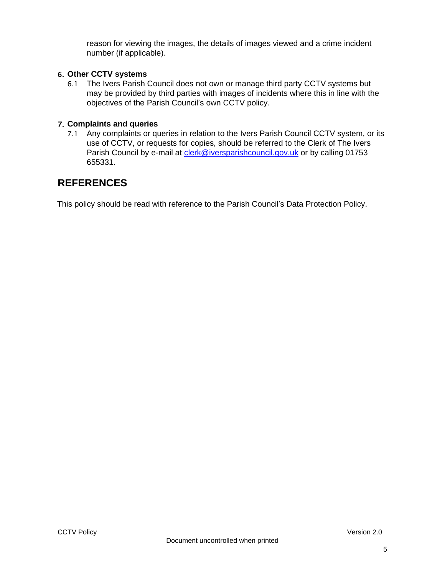reason for viewing the images, the details of images viewed and a crime incident number (if applicable).

#### <span id="page-4-0"></span>6. **Other CCTV systems**

6.1 The Ivers Parish Council does not own or manage third party CCTV systems but may be provided by third parties with images of incidents where this in line with the objectives of the Parish Council's own CCTV policy.

#### <span id="page-4-1"></span>7. **Complaints and queries**

7.1 Any complaints or queries in relation to the Ivers Parish Council CCTV system, or its use of CCTV, or requests for copies, should be referred to the Clerk of The Ivers Parish Council by e-mail at clerk@iversparishcouncil.gov.uk or by calling 01753 655331.

### <span id="page-4-2"></span>**REFERENCES**

This policy should be read with reference to the Parish Council's Data Protection Policy.